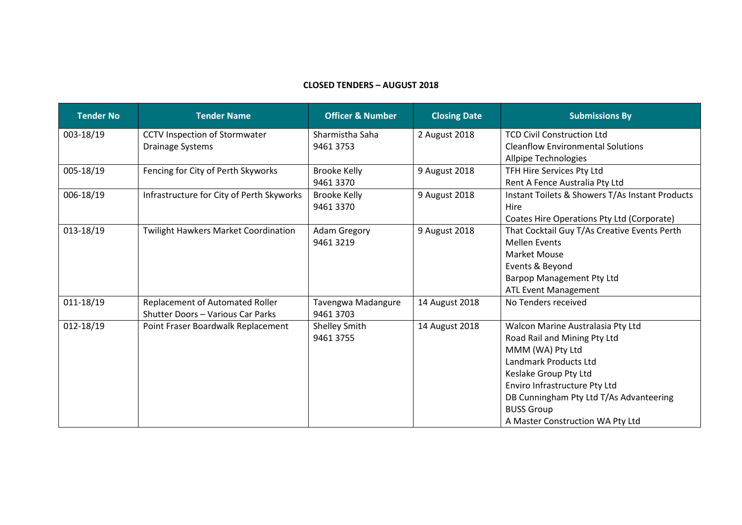## **CLOSED TENDERS – AUGUST 2018**

| <b>Tender No</b> | <b>Tender Name</b>                          | <b>Officer &amp; Number</b>     | <b>Closing Date</b> | <b>Submissions By</b>                           |
|------------------|---------------------------------------------|---------------------------------|---------------------|-------------------------------------------------|
| 003-18/19        | CCTV Inspection of Stormwater               | Sharmistha Saha                 | 2 August 2018       | <b>TCD Civil Construction Ltd</b>               |
|                  | Drainage Systems                            | 9461 3753                       |                     | <b>Cleanflow Environmental Solutions</b>        |
|                  |                                             |                                 |                     | Allpipe Technologies                            |
| 005-18/19        | Fencing for City of Perth Skyworks          | <b>Brooke Kelly</b>             | 9 August 2018       | TFH Hire Services Pty Ltd                       |
|                  |                                             | 9461 3370                       |                     | Rent A Fence Australia Pty Ltd                  |
| 006-18/19        | Infrastructure for City of Perth Skyworks   | <b>Brooke Kelly</b>             | 9 August 2018       | Instant Toilets & Showers T/As Instant Products |
|                  |                                             | 9461 3370                       |                     | Hire                                            |
|                  |                                             |                                 |                     | Coates Hire Operations Pty Ltd (Corporate)      |
| 013-18/19        | <b>Twilight Hawkers Market Coordination</b> | <b>Adam Gregory</b><br>94613219 | 9 August 2018       | That Cocktail Guy T/As Creative Events Perth    |
|                  |                                             |                                 |                     | <b>Mellen Events</b>                            |
|                  |                                             |                                 |                     | <b>Market Mouse</b>                             |
|                  |                                             |                                 |                     | Events & Beyond                                 |
|                  |                                             |                                 |                     | Barpop Management Pty Ltd                       |
|                  |                                             |                                 |                     | <b>ATL Event Management</b>                     |
| 011-18/19        | Replacement of Automated Roller             | Tavengwa Madangure              | 14 August 2018      | No Tenders received                             |
|                  | Shutter Doors - Various Car Parks           | 9461 3703                       |                     |                                                 |
| 012-18/19        | Point Fraser Boardwalk Replacement          | Shelley Smith                   | 14 August 2018      | Walcon Marine Australasia Pty Ltd               |
|                  |                                             | 9461 3755                       |                     | Road Rail and Mining Pty Ltd                    |
|                  |                                             |                                 |                     | MMM (WA) Pty Ltd                                |
|                  |                                             |                                 |                     | Landmark Products Ltd                           |
|                  |                                             |                                 |                     | Keslake Group Pty Ltd                           |
|                  |                                             |                                 |                     | Enviro Infrastructure Pty Ltd                   |
|                  |                                             |                                 |                     | DB Cunningham Pty Ltd T/As Advanteering         |
|                  |                                             |                                 |                     | <b>BUSS Group</b>                               |
|                  |                                             |                                 |                     | A Master Construction WA Pty Ltd                |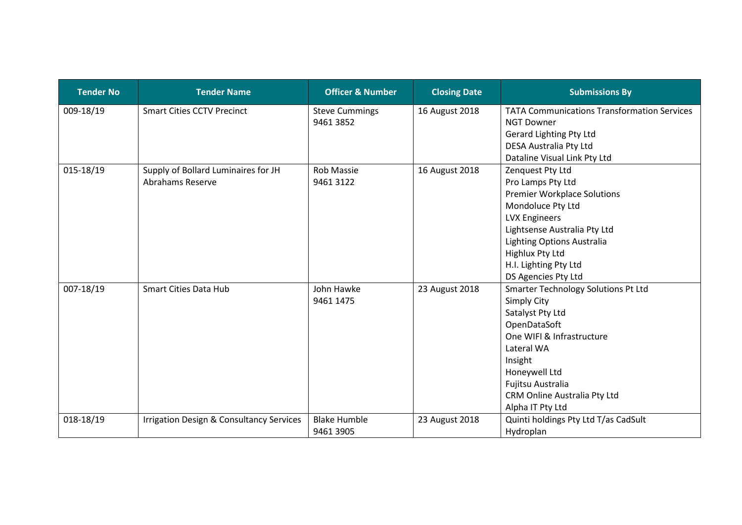| <b>Tender No</b> | <b>Tender Name</b>                                  | <b>Officer &amp; Number</b> | <b>Closing Date</b> | <b>Submissions By</b>                              |
|------------------|-----------------------------------------------------|-----------------------------|---------------------|----------------------------------------------------|
| 009-18/19        | <b>Smart Cities CCTV Precinct</b>                   | <b>Steve Cummings</b>       | 16 August 2018      | <b>TATA Communications Transformation Services</b> |
|                  |                                                     | 9461 3852                   |                     | <b>NGT Downer</b>                                  |
|                  |                                                     |                             |                     | Gerard Lighting Pty Ltd                            |
|                  |                                                     |                             |                     | DESA Australia Pty Ltd                             |
|                  |                                                     |                             |                     | Dataline Visual Link Pty Ltd                       |
| 015-18/19        | Supply of Bollard Luminaires for JH                 | <b>Rob Massie</b>           | 16 August 2018      | Zenquest Pty Ltd                                   |
|                  | Abrahams Reserve                                    | 9461 3122                   |                     | Pro Lamps Pty Ltd                                  |
|                  |                                                     |                             |                     | <b>Premier Workplace Solutions</b>                 |
|                  |                                                     |                             |                     | Mondoluce Pty Ltd                                  |
|                  |                                                     |                             |                     | <b>LVX Engineers</b>                               |
|                  |                                                     |                             |                     | Lightsense Australia Pty Ltd                       |
|                  |                                                     |                             |                     | Lighting Options Australia                         |
|                  |                                                     |                             |                     | <b>Highlux Pty Ltd</b>                             |
|                  |                                                     |                             |                     | H.I. Lighting Pty Ltd                              |
|                  |                                                     |                             |                     | DS Agencies Pty Ltd                                |
| 007-18/19        | <b>Smart Cities Data Hub</b>                        | John Hawke<br>9461 1475     | 23 August 2018      | Smarter Technology Solutions Pt Ltd                |
|                  |                                                     |                             |                     | Simply City                                        |
|                  |                                                     |                             |                     | Satalyst Pty Ltd                                   |
|                  |                                                     |                             |                     | OpenDataSoft                                       |
|                  |                                                     |                             |                     | One WIFI & Infrastructure                          |
|                  |                                                     |                             |                     | Lateral WA                                         |
|                  |                                                     |                             |                     | Insight                                            |
|                  |                                                     |                             |                     | Honeywell Ltd                                      |
|                  |                                                     |                             |                     | Fujitsu Australia                                  |
|                  |                                                     |                             |                     | CRM Online Australia Pty Ltd                       |
|                  |                                                     |                             |                     | Alpha IT Pty Ltd                                   |
| 018-18/19        | <b>Irrigation Design &amp; Consultancy Services</b> | <b>Blake Humble</b>         | 23 August 2018      | Quinti holdings Pty Ltd T/as CadSult               |
|                  |                                                     | 9461 3905                   |                     | Hydroplan                                          |